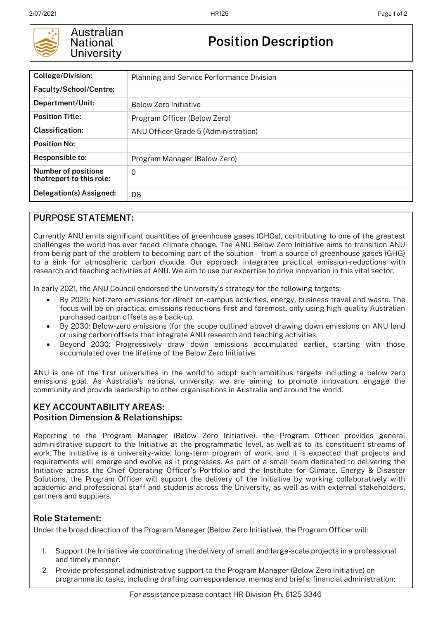

### Australian **National University**

# **Position Description**

| <b>College/Division:</b>                               | Planning and Service Performance Division |
|--------------------------------------------------------|-------------------------------------------|
| Faculty/School/Centre:                                 |                                           |
| Department/Unit:                                       | Below Zero Initiative                     |
| <b>Position Title:</b>                                 | Program Officer (Below Zero)              |
| Classification:                                        | ANU Officer Grade 5 (Administration)      |
| <b>Position No:</b>                                    |                                           |
| Responsible to:                                        | Program Manager (Below Zero)              |
| <b>Number of positions</b><br>thatreport to this role: | $\Omega$                                  |
| Delegation(s) Assigned:                                | D <sub>8</sub>                            |

## **PURPOSE STATEMENT:**

Currently ANU emits significant quantities of greenhouse gases (GHGs), contributing to one of the greatest challenges the world has ever faced: climate change. The ANU Below Zero Initiative aims to transition ANU from being part of the problem to becoming part of the solution - from a source of greenhouse gases (GHG) to a sink for atmospheric carbon dioxide. Our approach integrates practical emission-reductions with research and teaching activities at ANU. We aim to use our expertise to drive innovation in this vital sector.

In early 2021, the ANU Council endorsed the University's strategy for the following targets:

- By 2025: Net-zero emissions for direct on-campus activities, energy, business travel and waste. The focus will be on practical emissions reductions first and foremost, only using high-quality Australian purchased carbon offsets as a back-up.
- By 2030: Below-zero emissions (for the scope outlined above) drawing down emissions on ANU land or using carbon offsets that integrate ANU research and teaching activities.
- Beyond 2030: Progressively draw down emissions accumulated earlier, starting with those accumulated over the lifetime of the Below Zero Initiative.

ANU is one of the first universities in the world to adopt such ambitious targets including a below zero emissions goal. As Australia's national university, we are aiming to promote innovation, engage the community and provide leadership to other organisations in Australia and around the world.

### **KEY ACCOUNTABILITY AREAS: Position Dimension & Relationships:**

Reporting to the Program Manager (Below Zero Initiative), the Program Officer provides general administrative support to the Initiative at the programmatic level, as well as to its constituent streams of work. The Initiative is a university-wide, long-term program of work, and it is expected that projects and requirements will emerge and evolve as it progresses. As part of a small team dedicated to delivering the Initiative across the Chief Operating Officer's Portfolio and the Institute for Climate, Energy & Disaster Solutions, the Program Officer will support the delivery of the Initiative by working collaboratively with academic and professional staff and students across the University, as well as with external stakeholders, partners and suppliers.

#### **Role Statement:**

Under the broad direction of the Program Manager (Below Zero Initiative), the Program Officer will:

- 1. Support the Initiative via coordinating the delivery of small and large-scale projects in a professional and timely manner.
- 2. Provide professional administrative support to the Program Manager (Below Zero Initiative) on programmatic tasks, including drafting correspondence, memos and briefs; financial administration;